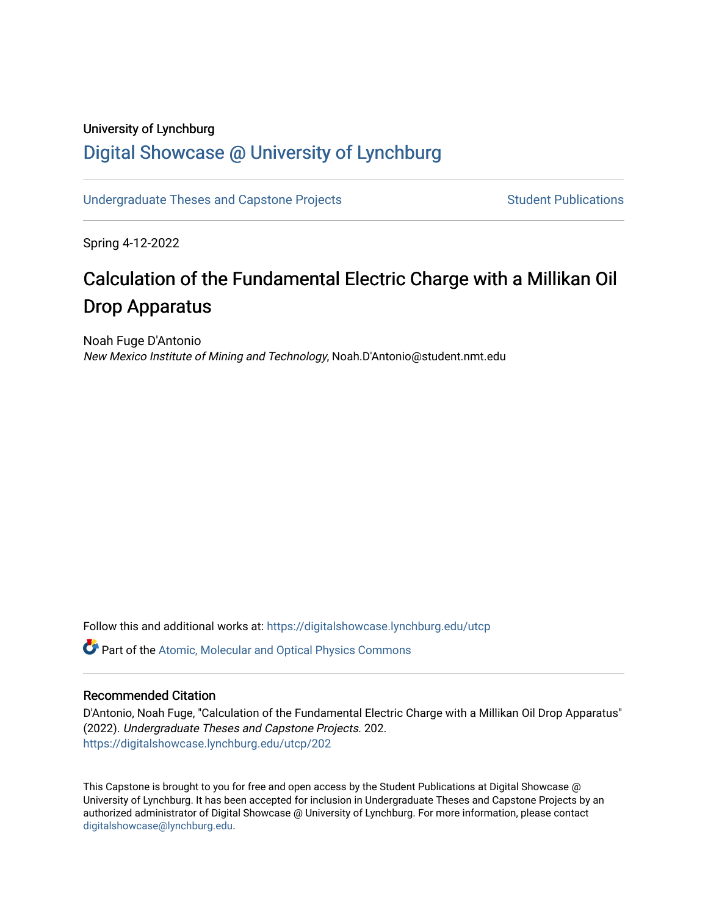## University of Lynchburg [Digital Showcase @ University of Lynchburg](https://digitalshowcase.lynchburg.edu/)

[Undergraduate Theses and Capstone Projects](https://digitalshowcase.lynchburg.edu/utcp) **Student Publications** Student Publications

Spring 4-12-2022

# Calculation of the Fundamental Electric Charge with a Millikan Oil Drop Apparatus

Noah Fuge D'Antonio New Mexico Institute of Mining and Technology, Noah.D'Antonio@student.nmt.edu

Follow this and additional works at: [https://digitalshowcase.lynchburg.edu/utcp](https://digitalshowcase.lynchburg.edu/utcp?utm_source=digitalshowcase.lynchburg.edu%2Futcp%2F202&utm_medium=PDF&utm_campaign=PDFCoverPages)

Part of the [Atomic, Molecular and Optical Physics Commons](https://network.bepress.com/hgg/discipline/195?utm_source=digitalshowcase.lynchburg.edu%2Futcp%2F202&utm_medium=PDF&utm_campaign=PDFCoverPages) 

## Recommended Citation

D'Antonio, Noah Fuge, "Calculation of the Fundamental Electric Charge with a Millikan Oil Drop Apparatus" (2022). Undergraduate Theses and Capstone Projects. 202. [https://digitalshowcase.lynchburg.edu/utcp/202](https://digitalshowcase.lynchburg.edu/utcp/202?utm_source=digitalshowcase.lynchburg.edu%2Futcp%2F202&utm_medium=PDF&utm_campaign=PDFCoverPages)

This Capstone is brought to you for free and open access by the Student Publications at Digital Showcase @ University of Lynchburg. It has been accepted for inclusion in Undergraduate Theses and Capstone Projects by an authorized administrator of Digital Showcase @ University of Lynchburg. For more information, please contact [digitalshowcase@lynchburg.edu](mailto:digitalshowcase@lynchburg.edu).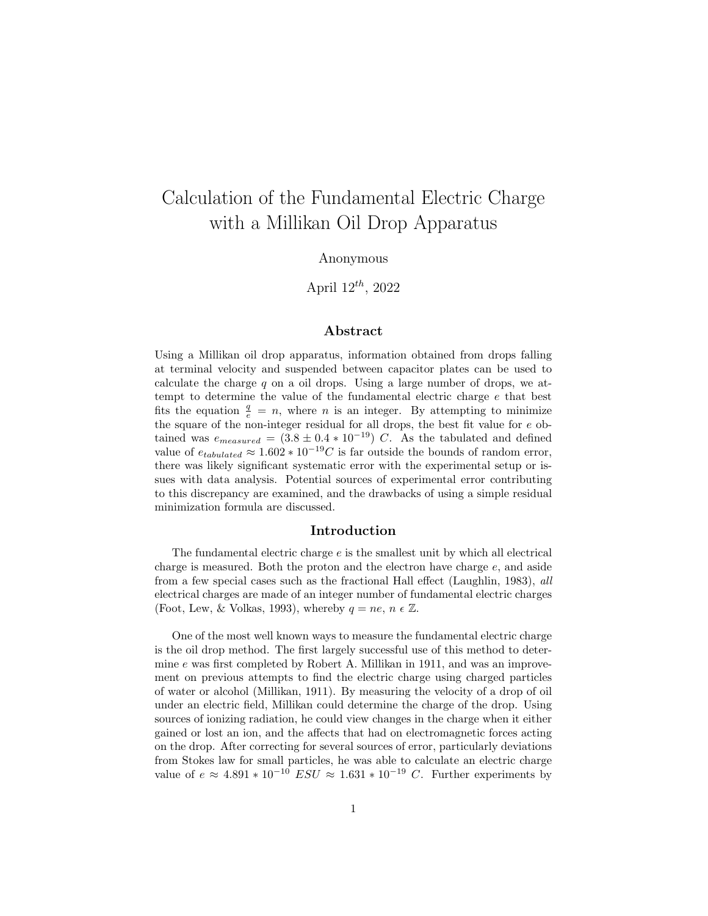# Calculation of the Fundamental Electric Charge with a Millikan Oil Drop Apparatus

### Anonymous

## April  $12^{th}$ , 2022

## Abstract

Using a Millikan oil drop apparatus, information obtained from drops falling at terminal velocity and suspended between capacitor plates can be used to calculate the charge q on a oil drops. Using a large number of drops, we attempt to determine the value of the fundamental electric charge e that best fits the equation  $\frac{q}{e} = n$ , where *n* is an integer. By attempting to minimize the square of the non-integer residual for all drops, the best fit value for e obtained was  $e_{measured} = (3.8 \pm 0.4 * 10^{-19})$  C. As the tabulated and defined value of  $e_{tabulated} \approx 1.602 * 10^{-19}C$  is far outside the bounds of random error, there was likely significant systematic error with the experimental setup or issues with data analysis. Potential sources of experimental error contributing to this discrepancy are examined, and the drawbacks of using a simple residual minimization formula are discussed.

#### Introduction

The fundamental electric charge  $e$  is the smallest unit by which all electrical charge is measured. Both the proton and the electron have charge  $e$ , and aside from a few special cases such as the fractional Hall effect (Laughlin, 1983), all electrical charges are made of an integer number of fundamental electric charges (Foot, Lew, & Volkas, 1993), whereby  $q = ne, n \in \mathbb{Z}$ .

One of the most well known ways to measure the fundamental electric charge is the oil drop method. The first largely successful use of this method to determine e was first completed by Robert A. Millikan in 1911, and was an improvement on previous attempts to find the electric charge using charged particles of water or alcohol (Millikan, 1911). By measuring the velocity of a drop of oil under an electric field, Millikan could determine the charge of the drop. Using sources of ionizing radiation, he could view changes in the charge when it either gained or lost an ion, and the affects that had on electromagnetic forces acting on the drop. After correcting for several sources of error, particularly deviations from Stokes law for small particles, he was able to calculate an electric charge value of  $e \approx 4.891 * 10^{-10} ESU \approx 1.631 * 10^{-19} C$ . Further experiments by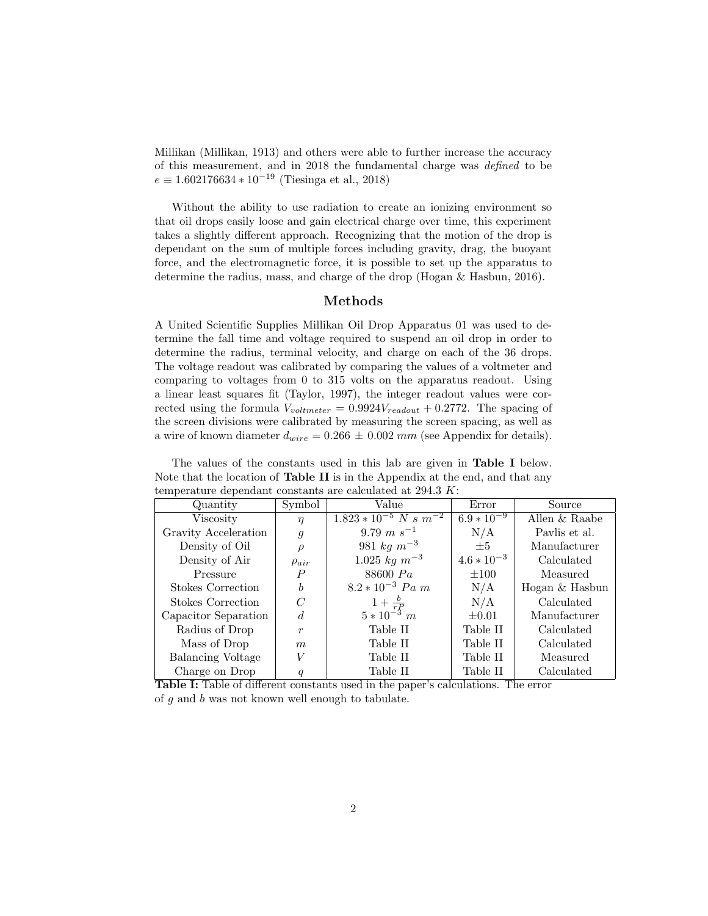Millikan (Millikan, 1913) and others were able to further increase the accuracy of this measurement, and in 2018 the fundamental charge was defined to be  $e \equiv 1.602176634 * 10^{-19}$  (Tiesinga et al., 2018)

Without the ability to use radiation to create an ionizing environment so that oil drops easily loose and gain electrical charge over time, this experiment takes a slightly different approach. Recognizing that the motion of the drop is dependant on the sum of multiple forces including gravity, drag, the buoyant force, and the electromagnetic force, it is possible to set up the apparatus to determine the radius, mass, and charge of the drop (Hogan & Hasbun, 2016).

## Methods

A United Scientific Supplies Millikan Oil Drop Apparatus 01 was used to determine the fall time and voltage required to suspend an oil drop in order to determine the radius, terminal velocity, and charge on each of the 36 drops. The voltage readout was calibrated by comparing the values of a voltmeter and comparing to voltages from 0 to 315 volts on the apparatus readout. Using a linear least squares fit (Taylor, 1997), the integer readout values were corrected using the formula  $V_{voltmeter} = 0.9924V_{readout} + 0.2772$ . The spacing of the screen divisions were calibrated by measuring the screen spacing, as well as a wire of known diameter  $d_{wire} = 0.266 \pm 0.002 \, \text{mm}$  (see Appendix for details).

The values of the constants used in this lab are given in Table I below. Note that the location of Table II is in the Appendix at the end, and that any temperature dependant constants are calculated at 294.3 K:

| Quantity                 | Symbol                                 | Value                 | Error           | Source         |
|--------------------------|----------------------------------------|-----------------------|-----------------|----------------|
| Viscosity                | $1.823 * 10^{-5} N s m^{-2}$<br>$\eta$ |                       | $6.9 * 10^{-9}$ | Allen & Raabe  |
| Gravity Acceleration     | $\mathfrak{g}$                         | $9.79 \; m \; s^{-1}$ | N/A             | Pavlis et al.  |
| Density of Oil           | $\rho$                                 | 981 $kg m^{-3}$       | $\pm 5$         | Manufacturer   |
| Density of Air           | $\rho_{air}$                           | $1.025 \ kg \ m^{-3}$ | $4.6 * 10^{-3}$ | Calculated     |
| Pressure                 | P                                      | 88600 Pa              | $\pm 100$       | Measured       |
| Stokes Correction        | $\boldsymbol{b}$                       | $8.2 * 10^{-3}$ Pa m  | N/A             | Hogan & Hasbun |
| <b>Stokes Correction</b> | C                                      | $1+\frac{b}{rP}$      | N/A             | Calculated     |
| Capacitor Separation     | d                                      | $5 * 10^{-3}$ m       | $\pm 0.01$      | Manufacturer   |
| Radius of Drop           | $\boldsymbol{r}$                       | Table II              | Table II        | Calculated     |
| Mass of Drop             | $\boldsymbol{m}$                       | Table II              | Table II        | Calculated     |
| <b>Balancing Voltage</b> | V                                      | Table II              | Table II        | Measured       |
| Charge on Drop           | q                                      | Table II              | Table II        | Calculated     |

Table I: Table of different constants used in the paper's calculations. The error of g and b was not known well enough to tabulate.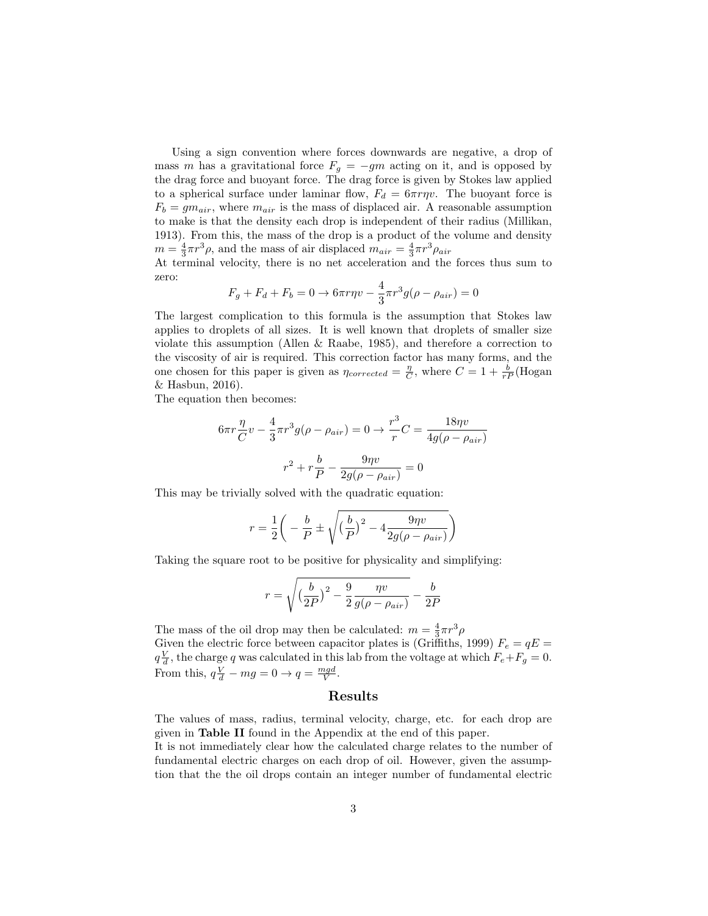Using a sign convention where forces downwards are negative, a drop of mass m has a gravitational force  $F_q = -gm$  acting on it, and is opposed by the drag force and buoyant force. The drag force is given by Stokes law applied to a spherical surface under laminar flow,  $F_d = 6\pi r \eta v$ . The buoyant force is  $F_b = g m_{air}$ , where  $m_{air}$  is the mass of displaced air. A reasonable assumption to make is that the density each drop is independent of their radius (Millikan, 1913). From this, the mass of the drop is a product of the volume and density  $m = \frac{4}{3}\pi r^3 \rho$ , and the mass of air displaced  $m_{air} = \frac{4}{3}\pi r^3 \rho_{air}$ 

At terminal velocity, there is no net acceleration and the forces thus sum to zero:

$$
F_g + F_d + F_b = 0 \to 6\pi r \eta v - \frac{4}{3} \pi r^3 g(\rho - \rho_{air}) = 0
$$

The largest complication to this formula is the assumption that Stokes law applies to droplets of all sizes. It is well known that droplets of smaller size violate this assumption (Allen & Raabe, 1985), and therefore a correction to the viscosity of air is required. This correction factor has many forms, and the one chosen for this paper is given as  $\eta_{corrected} = \frac{\eta}{C}$ , where  $C = 1 + \frac{b}{rP}(\text{Hogan})$ & Hasbun, 2016).

The equation then becomes:

$$
6\pi r \frac{\eta}{C} v - \frac{4}{3} \pi r^3 g(\rho - \rho_{air}) = 0 \rightarrow \frac{r^3}{r} C = \frac{18\eta v}{4g(\rho - \rho_{air})}
$$

$$
r^2 + r\frac{b}{P} - \frac{9\eta v}{2g(\rho - \rho_{air})} = 0
$$

This may be trivially solved with the quadratic equation:

$$
r = \frac{1}{2} \bigg( -\frac{b}{P} \pm \sqrt{\left(\frac{b}{P}\right)^2 - 4 \frac{9\eta v}{2g(\rho - \rho_{air})}} \bigg)
$$

Taking the square root to be positive for physicality and simplifying:

$$
r = \sqrt{\left(\frac{b}{2P}\right)^2 - \frac{9}{2}\frac{\eta v}{g(\rho - \rho_{air})}} - \frac{b}{2P}
$$

The mass of the oil drop may then be calculated:  $m = \frac{4}{3}\pi r^3 \rho$ Given the electric force between capacitor plates is (Griffiths, 1999)  $F_e = qE$  $q\frac{V}{d}$ , the charge q was calculated in this lab from the voltage at which  $F_e + F_g = 0$ . From this,  $q\frac{V}{d} - mg = 0 \rightarrow q = \frac{mgd}{V}$ .

### Results

The values of mass, radius, terminal velocity, charge, etc. for each drop are given in Table II found in the Appendix at the end of this paper.

It is not immediately clear how the calculated charge relates to the number of fundamental electric charges on each drop of oil. However, given the assumption that the the oil drops contain an integer number of fundamental electric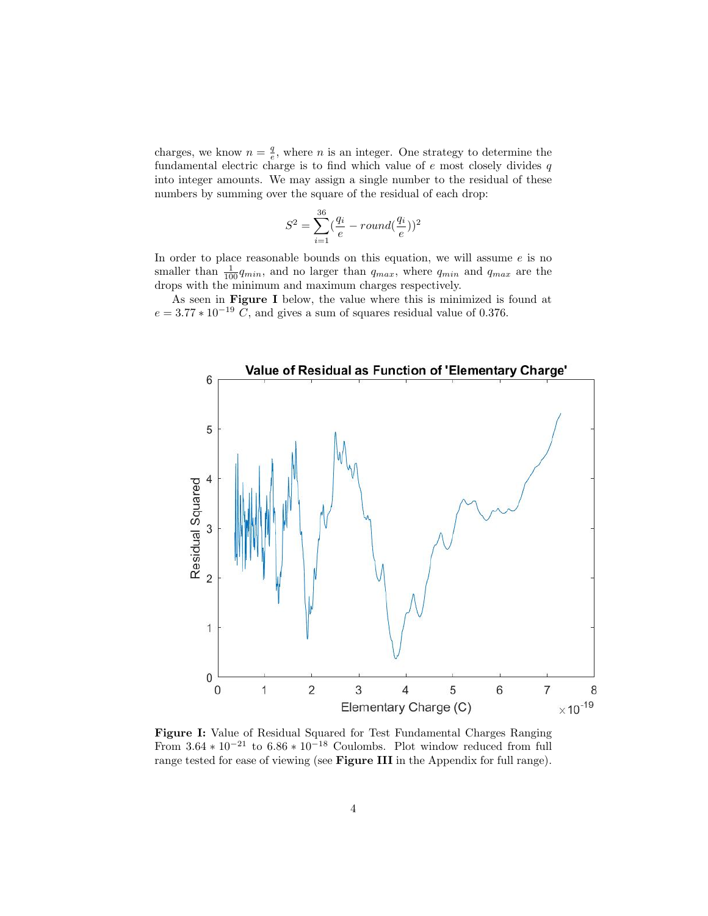charges, we know  $n = \frac{q}{e}$ , where *n* is an integer. One strategy to determine the fundamental electric charge is to find which value of  $e$  most closely divides  $q$ into integer amounts. We may assign a single number to the residual of these numbers by summing over the square of the residual of each drop:

$$
S^{2} = \sum_{i=1}^{36} (\frac{q_{i}}{e} - round(\frac{q_{i}}{e}))^{2}
$$

In order to place reasonable bounds on this equation, we will assume  $e$  is no smaller than  $\frac{1}{100}q_{min}$ , and no larger than  $q_{max}$ , where  $q_{min}$  and  $q_{max}$  are the drops with the minimum and maximum charges respectively.

As seen in Figure I below, the value where this is minimized is found at  $e = 3.77 * 10^{-19}$  C, and gives a sum of squares residual value of 0.376.



Figure I: Value of Residual Squared for Test Fundamental Charges Ranging From  $3.64 * 10^{-21}$  to  $6.86 * 10^{-18}$  Coulombs. Plot window reduced from full range tested for ease of viewing (see Figure III in the Appendix for full range).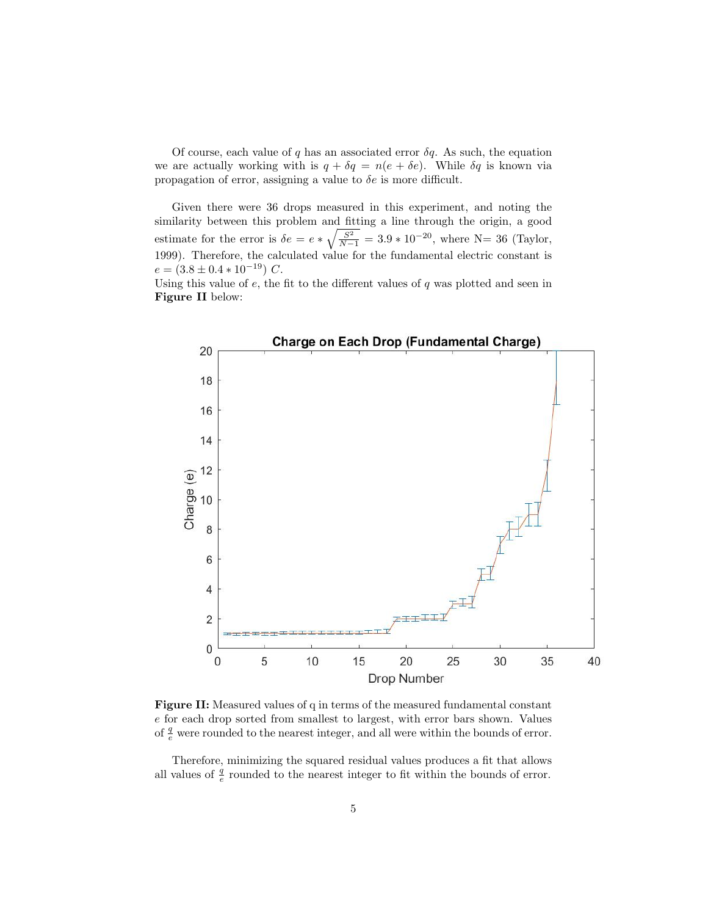Of course, each value of q has an associated error  $\delta q$ . As such, the equation we are actually working with is  $q + \delta q = n(e + \delta e)$ . While  $\delta q$  is known via propagation of error, assigning a value to  $\delta e$  is more difficult.

Given there were 36 drops measured in this experiment, and noting the similarity between this problem and fitting a line through the origin, a good estimate for the error is  $\delta e = e * \sqrt{\frac{S^2}{N-1}} = 3.9 * 10^{-20}$ , where N= 36 (Taylor, 1999). Therefore, the calculated value for the fundamental electric constant is  $e = (3.8 \pm 0.4 * 10^{-19}) C.$ 

Using this value of  $e$ , the fit to the different values of  $q$  was plotted and seen in Figure II below:



Figure II: Measured values of q in terms of the measured fundamental constant e for each drop sorted from smallest to largest, with error bars shown. Values of  $\frac{q}{e}$  were rounded to the nearest integer, and all were within the bounds of error.

Therefore, minimizing the squared residual values produces a fit that allows all values of  $\frac{q}{e}$  rounded to the nearest integer to fit within the bounds of error.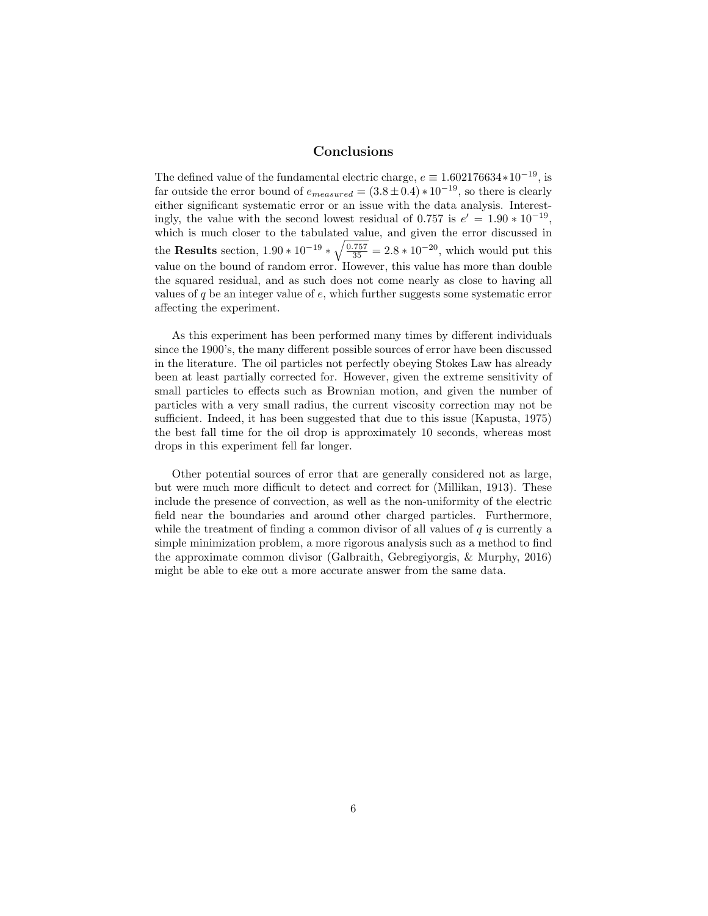## Conclusions

The defined value of the fundamental electric charge,  $e \equiv 1.602176634*10^{-19}$ , is far outside the error bound of  $e_{measured} = (3.8 \pm 0.4) * 10^{-19}$ , so there is clearly either significant systematic error or an issue with the data analysis. Interestingly, the value with the second lowest residual of 0.757 is  $e' = 1.90 * 10^{-19}$ , which is much closer to the tabulated value, and given the error discussed in the Results section,  $1.90 * 10^{-19} * \sqrt{\frac{0.757}{35}} = 2.8 * 10^{-20}$ , which would put this value on the bound of random error. However, this value has more than double the squared residual, and as such does not come nearly as close to having all values of  $q$  be an integer value of  $e$ , which further suggests some systematic error affecting the experiment.

As this experiment has been performed many times by different individuals since the 1900's, the many different possible sources of error have been discussed in the literature. The oil particles not perfectly obeying Stokes Law has already been at least partially corrected for. However, given the extreme sensitivity of small particles to effects such as Brownian motion, and given the number of particles with a very small radius, the current viscosity correction may not be sufficient. Indeed, it has been suggested that due to this issue (Kapusta, 1975) the best fall time for the oil drop is approximately 10 seconds, whereas most drops in this experiment fell far longer.

Other potential sources of error that are generally considered not as large, but were much more difficult to detect and correct for (Millikan, 1913). These include the presence of convection, as well as the non-uniformity of the electric field near the boundaries and around other charged particles. Furthermore, while the treatment of finding a common divisor of all values of  $q$  is currently a simple minimization problem, a more rigorous analysis such as a method to find the approximate common divisor (Galbraith, Gebregiyorgis, & Murphy, 2016) might be able to eke out a more accurate answer from the same data.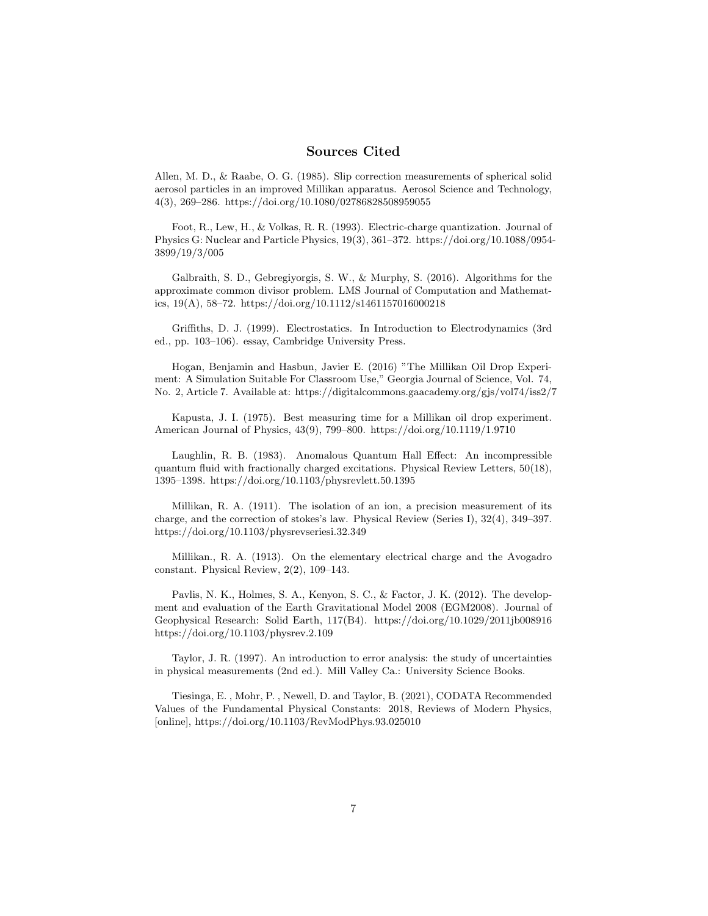### Sources Cited

Allen, M. D., & Raabe, O. G. (1985). Slip correction measurements of spherical solid aerosol particles in an improved Millikan apparatus. Aerosol Science and Technology, 4(3), 269–286. https://doi.org/10.1080/02786828508959055

Foot, R., Lew, H., & Volkas, R. R. (1993). Electric-charge quantization. Journal of Physics G: Nuclear and Particle Physics, 19(3), 361–372. https://doi.org/10.1088/0954- 3899/19/3/005

Galbraith, S. D., Gebregiyorgis, S. W., & Murphy, S. (2016). Algorithms for the approximate common divisor problem. LMS Journal of Computation and Mathematics, 19(A), 58–72. https://doi.org/10.1112/s1461157016000218

Griffiths, D. J. (1999). Electrostatics. In Introduction to Electrodynamics (3rd ed., pp. 103–106). essay, Cambridge University Press.

Hogan, Benjamin and Hasbun, Javier E. (2016) "The Millikan Oil Drop Experiment: A Simulation Suitable For Classroom Use," Georgia Journal of Science, Vol. 74, No. 2, Article 7. Available at: https://digitalcommons.gaacademy.org/gjs/vol74/iss2/7

Kapusta, J. I. (1975). Best measuring time for a Millikan oil drop experiment. American Journal of Physics, 43(9), 799–800. https://doi.org/10.1119/1.9710

Laughlin, R. B. (1983). Anomalous Quantum Hall Effect: An incompressible quantum fluid with fractionally charged excitations. Physical Review Letters, 50(18), 1395–1398. https://doi.org/10.1103/physrevlett.50.1395

Millikan, R. A. (1911). The isolation of an ion, a precision measurement of its charge, and the correction of stokes's law. Physical Review (Series I), 32(4), 349–397. https://doi.org/10.1103/physrevseriesi.32.349

Millikan., R. A. (1913). On the elementary electrical charge and the Avogadro constant. Physical Review, 2(2), 109–143.

Pavlis, N. K., Holmes, S. A., Kenyon, S. C., & Factor, J. K. (2012). The development and evaluation of the Earth Gravitational Model 2008 (EGM2008). Journal of Geophysical Research: Solid Earth, 117(B4). https://doi.org/10.1029/2011jb008916 https://doi.org/10.1103/physrev.2.109

Taylor, J. R. (1997). An introduction to error analysis: the study of uncertainties in physical measurements (2nd ed.). Mill Valley Ca.: University Science Books.

Tiesinga, E. , Mohr, P. , Newell, D. and Taylor, B. (2021), CODATA Recommended Values of the Fundamental Physical Constants: 2018, Reviews of Modern Physics, [online], https://doi.org/10.1103/RevModPhys.93.025010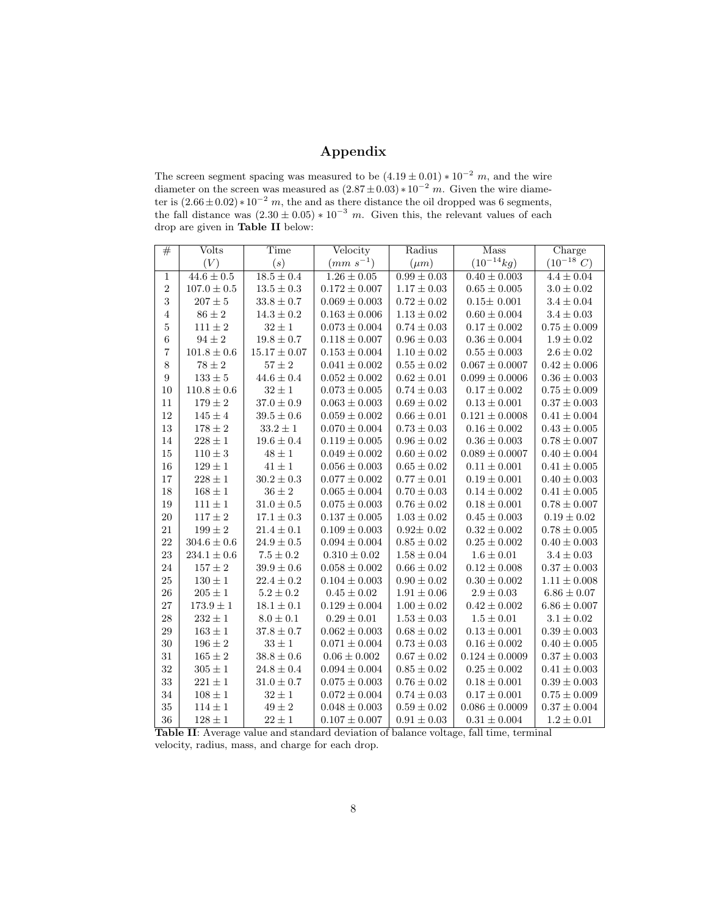## Appendix

The screen segment spacing was measured to be  $(4.19 \pm 0.01) * 10^{-2} m$ , and the wire diameter on the screen was measured as  $(2.87 \pm 0.03) * 10^{-2}$  m. Given the wire diameter is  $(2.66 \pm 0.02) * 10^{-2}$  m, the and as there distance the oil dropped was 6 segments, the fall distance was  $(2.30 \pm 0.05) * 10^{-3}$  m. Given this, the relevant values of each drop are given in Table II below:

| #                | Volts           | Time             | Velocity          | Radius                     | Mass               | Charge           |
|------------------|-----------------|------------------|-------------------|----------------------------|--------------------|------------------|
|                  | (V)             | (s)              | $(mm s^{-1})$     | $(\mu m)$                  | $(10^{-14}kg)$     | $(10^{-18} C)$   |
| $\mathbf{1}$     | $44.6 \pm 0.5$  | $18.5 \pm 0.4$   | $1.26 \pm 0.05$   | $\overline{0.99 \pm 0.03}$ | $0.40 \pm 0.003$   | $4.4 \pm 0.04$   |
| $\sqrt{2}$       | $107.0 \pm 0.5$ | $13.5 \pm 0.3$   | $0.172 \pm 0.007$ | $1.17 \pm 0.03$            | $0.65\pm0.005$     | $3.0\pm0.02$     |
| 3                | $207\pm5$       | $33.8 \pm 0.7$   | $0.069 \pm 0.003$ | $0.72\pm0.02$              | $0.15 \pm 0.001$   | $3.4 \pm 0.04$   |
| $\,4\,$          | $86\pm2$        | $14.3\pm0.2$     | $0.163\pm0.006$   | $1.13\pm0.02$              | $0.60\pm0.004$     | $3.4\pm0.03$     |
| $\bf 5$          | $111\pm2$       | $32\pm1$         | $0.073\pm0.004$   | $0.74\pm0.03$              | $0.17\pm0.002$     | $0.75\pm0.009$   |
| $\,6$            | $94\pm2$        | $19.8\pm0.7$     | $0.118 \pm 0.007$ | $0.96 \pm 0.03$            | $0.36 \pm 0.004$   | $1.9 \pm 0.02$   |
| 7                | $101.8 \pm 0.6$ | $15.17 \pm 0.07$ | $0.153 \pm 0.004$ | $1.10 \pm 0.02$            | $0.55 \pm 0.003$   | $2.6 \pm 0.02$   |
| $8\,$            | $78\pm2$        | $57\pm2$         | $0.041 \pm 0.002$ | $0.55\pm0.02$              | $0.067 \pm 0.0007$ | $0.42\pm0.006$   |
| $\boldsymbol{9}$ | $133\pm5$       | $44.6\pm0.4$     | $0.052\pm0.002$   | $0.62\pm0.01$              | $0.099 \pm 0.0006$ | $0.36\pm0.003$   |
| 10               | $110.8\pm0.6$   | $32\pm1$         | $0.073 \pm 0.005$ | $0.74 \pm 0.03$            | $0.17 \pm 0.002$   | $0.75 \pm 0.009$ |
| 11               | $179\pm2$       | $37.0 \pm 0.9$   | $0.063 \pm 0.003$ | $0.69 \pm 0.02$            | $0.13 \pm 0.001$   | $0.37 \pm 0.003$ |
| $12\,$           | $145\pm4$       | $39.5\pm0.6$     | $0.059\pm0.002$   | $0.66\pm0.01$              | $0.121 \pm 0.0008$ | $0.41 \pm 0.004$ |
| $13\,$           | $178\pm2$       | $33.2\pm1$       | $0.070\pm0.004$   | $0.73\pm0.03$              | $0.16\pm0.002$     | $0.43\pm0.005$   |
| 14               | $228\pm1$       | $19.6\pm0.4$     | $0.119 \pm 0.005$ | $0.96 \pm 0.02$            | $0.36 \pm 0.003$   | $0.78 \pm 0.007$ |
| 15               | $110\pm3$       | $48\pm1$         | $0.049 \pm 0.002$ | $0.60 \pm 0.02$            | $0.089 \pm 0.0007$ | $0.40 \pm 0.004$ |
| 16               | $129\pm1$       | $41\pm1$         | $0.056\pm0.003$   | $0.65\pm0.02$              | $0.11\pm0.001$     | $0.41 \pm 0.005$ |
| 17               | $228\pm1$       | $30.2\pm0.3$     | $0.077\pm0.002$   | $0.77\pm0.01$              | $0.19\pm0.001$     | $0.40\pm0.003$   |
| 18               | $168 \pm 1$     | $36 \pm 2$       | $0.065 \pm 0.004$ | $0.70 \pm 0.03$            | $0.14 \pm 0.002$   | $0.41 \pm 0.005$ |
| 19               | $111 \pm 1$     | $31.0 \pm 0.5$   | $0.075 \pm 0.003$ | $0.76 \pm 0.02$            | $0.18 \pm 0.001$   | $0.78 \pm 0.007$ |
| 20               | $117\pm2$       | $17.1 \pm 0.3$   | $0.137 \pm 0.005$ | $1.03 \pm 0.02$            | $0.45 \pm 0.003$   | $0.19 \pm 0.02$  |
| 21               | $199\pm2$       | $21.4 \pm 0.1$   | $0.109 \pm 0.003$ | $0.92 \pm 0.02$            | $0.32 \pm 0.002$   | $0.78 \pm 0.005$ |
| 22               | $304.6 \pm 0.6$ | $24.9 \pm 0.5$   | $0.094 \pm 0.004$ | $0.85 \pm 0.02$            | $0.25 \pm 0.002$   | $0.40 \pm 0.003$ |
| 23               | $234.1 \pm 0.6$ | $7.5 \pm 0.2$    | $0.310 \pm 0.02$  | $1.58 \pm 0.04$            | $1.6 \pm 0.01$     | $3.4 \pm 0.03$   |
| 24               | $157\pm2$       | $39.9 \pm 0.6$   | $0.058 \pm 0.002$ | $0.66\pm0.02$              | $0.12\pm0.008$     | $0.37 \pm 0.003$ |
| $25\,$           | $130\pm1$       | $22.4 \pm 0.2$   | $0.104 \pm 0.003$ | $0.90 \pm 0.02$            | $0.30 \pm 0.002$   | $1.11 \pm 0.008$ |
| 26               | $205 \pm 1$     | $5.2 \pm 0.2$    | $0.45 \pm 0.02$   | $1.91 \pm 0.06$            | $2.9 \pm 0.03$     | $6.86 \pm 0.07$  |
| 27               | $173.9 \pm 1$   | $18.1\pm0.1$     | $0.129 \pm 0.004$ | $1.00 \pm 0.02$            | $0.42 \pm 0.002$   | $6.86 \pm 0.007$ |
| $\sqrt{28}$      | $232\pm1$       | $8.0 \pm 0.1$    | $0.29 \pm 0.01$   | $1.53 \pm 0.03$            | $1.5 \pm 0.01$     | $3.1 \pm 0.02$   |
| $\,29$           | $163\pm1$       | $37.8 \pm 0.7$   | $0.062 \pm 0.003$ | $0.68 \pm 0.02$            | $0.13 \pm 0.001$   | $0.39 \pm 0.003$ |
| 30               | $196 \pm 2$     | $33 \pm 1$       | $0.071 \pm 0.004$ | $0.73 \pm 0.03$            | $0.16 \pm 0.002$   | $0.40 \pm 0.005$ |
| 31               | $165 \pm 2$     | $38.8 \pm 0.6$   | $0.06 \pm 0.002$  | $0.67 \pm 0.02$            | $0.124 \pm 0.0009$ | $0.37 \pm 0.003$ |
| 32               | $305\pm1$       | $24.8 \pm 0.4$   | $0.094 \pm 0.004$ | $0.85 \pm 0.02$            | $0.25\pm0.002$     | $0.41\pm0.003$   |
| 33               | $221 \pm 1$     | $31.0 \pm 0.7$   | $0.075 \pm 0.003$ | $0.76 \pm 0.02$            | $0.18 \pm 0.001$   | $0.39 \pm 0.003$ |
| 34               | $108 \pm 1$     | $32\pm1$         | $0.072 \pm 0.004$ | $0.74 \pm 0.03$            | $0.17 \pm 0.001$   | $0.75 \pm 0.009$ |
| 35               | $114 \pm 1$     | $49\pm2$         | $0.048 \pm 0.003$ | $0.59 \pm 0.02$            | $0.086 \pm 0.0009$ | $0.37\pm0.004$   |
| 36               | $128\pm1$       | $22\pm1$         | $0.107 \pm 0.007$ | $0.91 \pm 0.03$            | $0.31\pm0.004$     | $1.2\pm0.01$     |

Table II: Average value and standard deviation of balance voltage, fall time, terminal velocity, radius, mass, and charge for each drop.